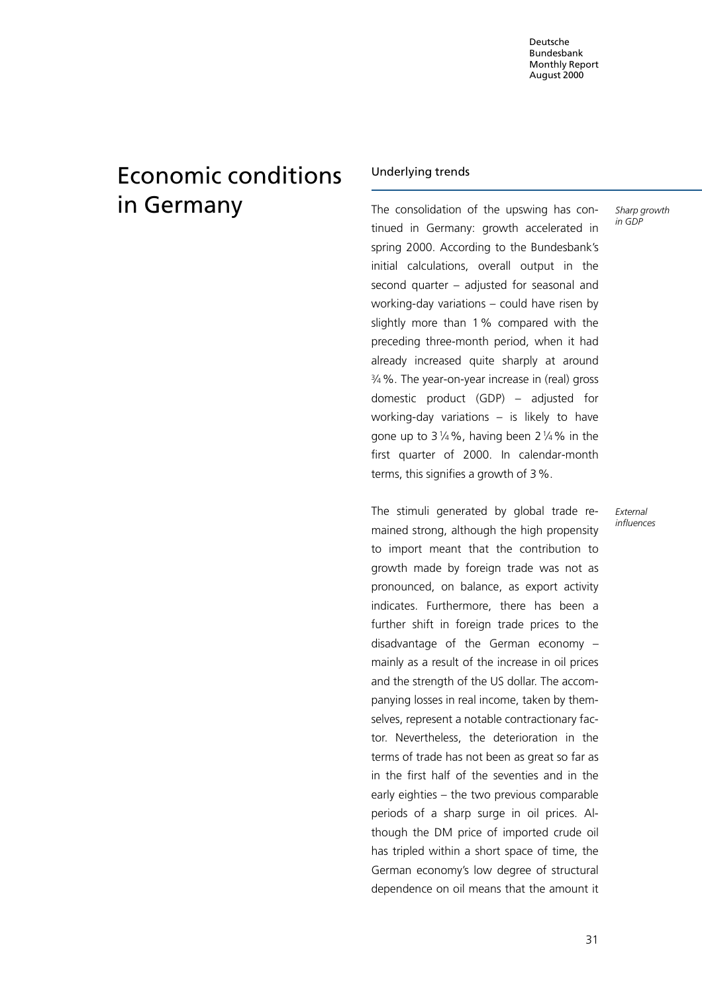# Economic conditions in Germany

## Underlying trends

The consolidation of the upswing has continued in Germany: growth accelerated in spring 2000. According to the Bundesbank's initial calculations, overall output in the second quarter  $-$  adjusted for seasonal and working-day variations  $-$  could have risen by slightly more than 1% compared with the preceding three-month period, when it had already increased quite sharply at around 34%. The year-on-year increase in (real) gross domestic product  $(GDP)$  – adjusted for working-day variations  $-$  is likely to have gone up to  $3\frac{1}{4}\%$ , having been  $2\frac{1}{4}\%$  in the first quarter of 2000. In calendar-month terms, this signifies a growth of 3%.

The stimuli generated by global trade remained strong, although the high propensity to import meant that the contribution to growth made by foreign trade was not as pronounced, on balance, as export activity indicates. Furthermore, there has been a further shift in foreign trade prices to the disadvantage of the German economy  $$ mainly as a result of the increase in oil prices and the strength of the US dollar. The accompanying losses in real income, taken by themselves, represent a notable contractionary factor. Nevertheless, the deterioration in the terms of trade has not been as great so far as in the first half of the seventies and in the early eighties  $-$  the two previous comparable periods of a sharp surge in oil prices. Although the DM price of imported crude oil has tripled within a short space of time, the German economy's low degree of structural dependence on oil means that the amount it External influences

Sharp growth in GDP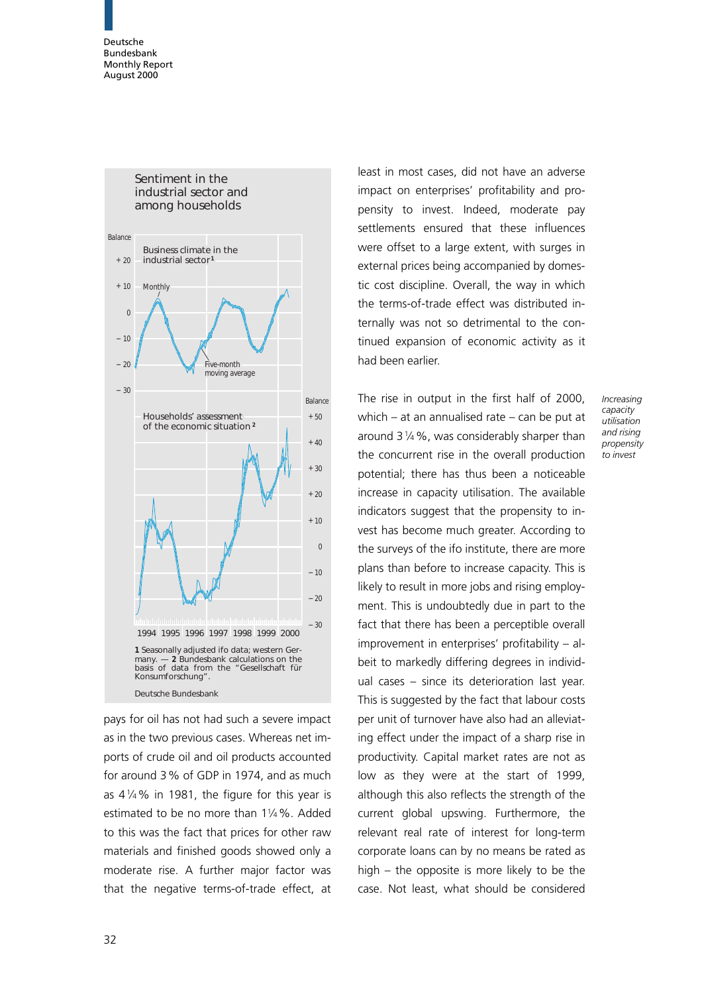

pays for oil has not had such a severe impact as in the two previous cases. Whereas net imports of crude oil and oil products accounted for around 3% of GDP in 1974, and as much as  $4\frac{1}{4}\%$  in 1981, the figure for this year is estimated to be no more than 114%. Added to this was the fact that prices for other raw materials and finished goods showed only a moderate rise. A further major factor was that the negative terms-of-trade effect, at

least in most cases, did not have an adverse impact on enterprises' profitability and propensity to invest. Indeed, moderate pay settlements ensured that these influences were offset to a large extent, with surges in external prices being accompanied by domestic cost discipline. Overall, the way in which the terms-of-trade effect was distributed internally was not so detrimental to the continued expansion of economic activity as it had been earlier.

The rise in output in the first half of 2000, which  $-$  at an annualised rate  $-$  can be put at around 314%, was considerably sharper than the concurrent rise in the overall production potential; there has thus been a noticeable increase in capacity utilisation. The available indicators suggest that the propensity to invest has become much greater. According to the surveys of the ifo institute, there are more plans than before to increase capacity. This is likely to result in more jobs and rising employment. This is undoubtedly due in part to the fact that there has been a perceptible overall  $improvement in enterprises' profitability – al$ beit to markedly differing degrees in individual cases  $-$  since its deterioration last year. This is suggested by the fact that labour costs per unit of turnover have also had an alleviating effect under the impact of a sharp rise in productivity. Capital market rates are not as low as they were at the start of 1999, although this also reflects the strength of the current global upswing. Furthermore, the relevant real rate of interest for long-term corporate loans can by no means be rated as high  $-$  the opposite is more likely to be the case. Not least, what should be considered

Increasing capacity utilisation and rising propensity to invest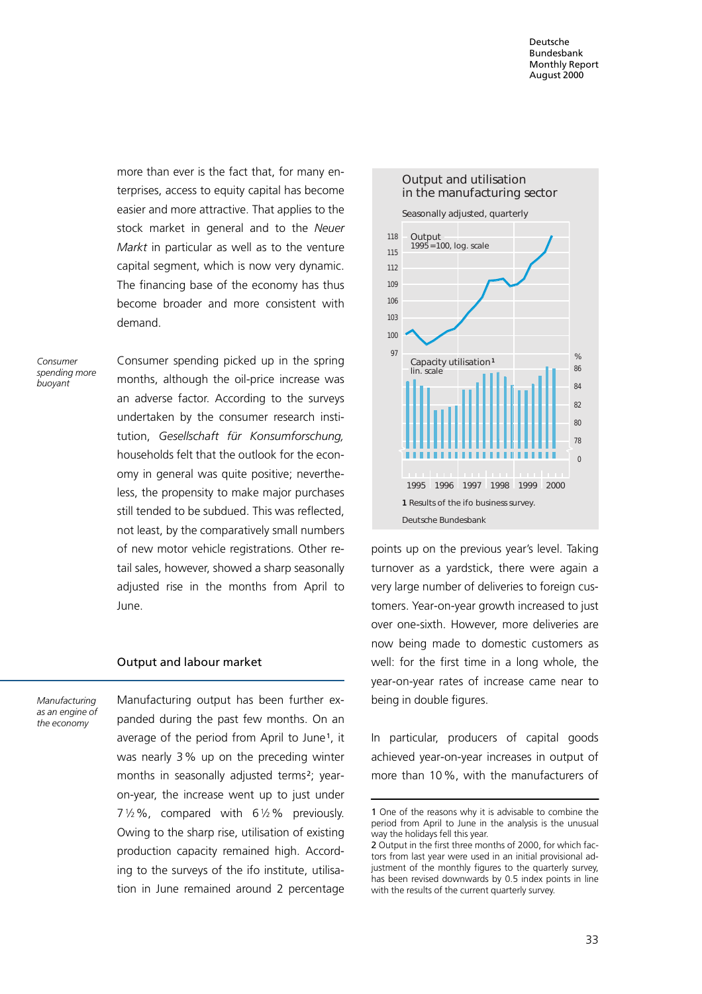more than ever is the fact that, for many enterprises, access to equity capital has become easier and more attractive. That applies to the stock market in general and to the Neuer Markt in particular as well as to the venture capital segment, which is now very dynamic. The financing base of the economy has thus become broader and more consistent with demand.

Consumer spending more buoyant

Consumer spending picked up in the spring months, although the oil-price increase was an adverse factor. According to the surveys undertaken by the consumer research institution, Gesellschaft für Konsumforschung, households felt that the outlook for the economy in general was quite positive; nevertheless, the propensity to make major purchases still tended to be subdued. This was reflected, not least, by the comparatively small numbers of new motor vehicle registrations. Other retail sales, however, showed a sharp seasonally adjusted rise in the months from April to June.

#### Output and labour market

Manufacturing as an engine of the economy

Manufacturing output has been further expanded during the past few months. On an average of the period from April to June<sup>1</sup>, it was nearly 3% up on the preceding winter months in seasonally adjusted terms<sup>2</sup>; yearon-year, the increase went up to just under  $7\frac{1}{2}\%$ , compared with  $6\frac{1}{2}\%$  previously. Owing to the sharp rise, utilisation of existing production capacity remained high. According to the surveys of the ifo institute, utilisation in June remained around 2 percentage



points up on the previous year's level. Taking turnover as a yardstick, there were again a very large number of deliveries to foreign customers. Year-on-year growth increased to just over one-sixth. However, more deliveries are now being made to domestic customers as well: for the first time in a long whole, the year-on-year rates of increase came near to being in double figures.

In particular, producers of capital goods achieved year-on-year increases in output of more than 10%, with the manufacturers of

<sup>1</sup> One of the reasons why it is advisable to combine the period from April to June in the analysis is the unusual way the holidays fell this year.

<sup>2</sup> Output in the first three months of 2000, for which factors from last year were used in an initial provisional adjustment of the monthly figures to the quarterly survey, has been revised downwards by 0.5 index points in line with the results of the current quarterly survey.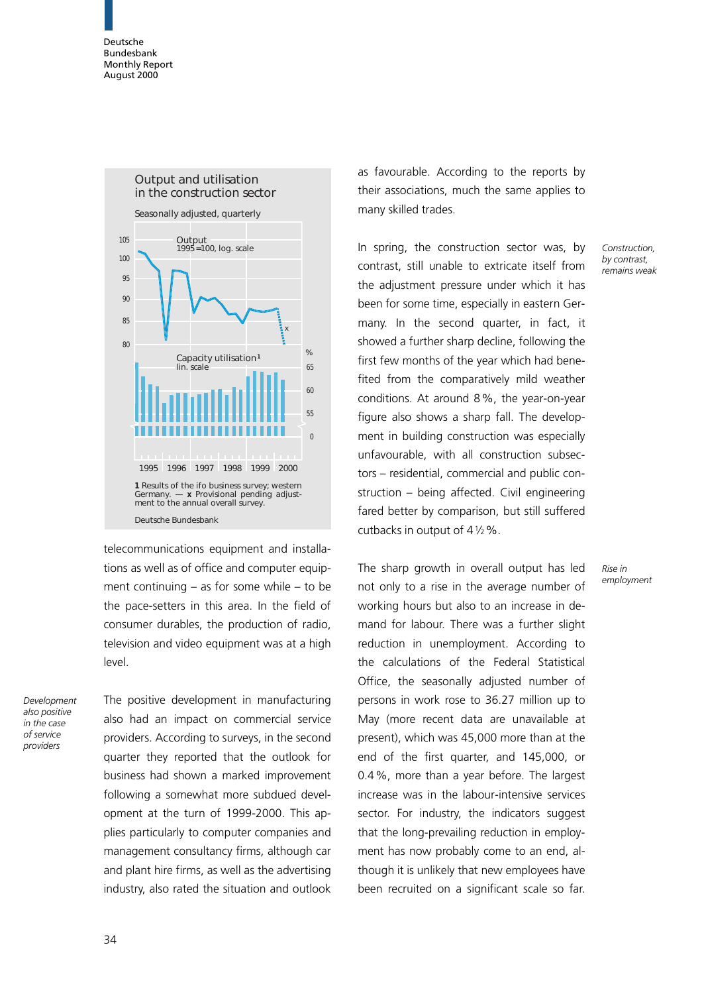

telecommunications equipment and installations as well as of office and computer equipment continuing  $-$  as for some while  $-$  to be the pace-setters in this area. In the field of consumer durables, the production of radio, television and video equipment was at a high level.

Development also positive in the case of service providers

The positive development in manufacturing also had an impact on commercial service providers. According to surveys, in the second quarter they reported that the outlook for business had shown a marked improvement following a somewhat more subdued development at the turn of 1999-2000. This applies particularly to computer companies and management consultancy firms, although car and plant hire firms, as well as the advertising industry, also rated the situation and outlook

as favourable. According to the reports by their associations, much the same applies to many skilled trades.

In spring, the construction sector was, by contrast, still unable to extricate itself from the adjustment pressure under which it has been for some time, especially in eastern Germany. In the second quarter, in fact, it showed a further sharp decline, following the first few months of the year which had benefited from the comparatively mild weather conditions. At around 8%, the year-on-year figure also shows a sharp fall. The development in building construction was especially unfavourable, with all construction subsectors – residential, commercial and public construction  $-$  being affected. Civil engineering fared better by comparison, but still suffered cutbacks in output of  $4\frac{1}{2}\%$ .

The sharp growth in overall output has led not only to a rise in the average number of working hours but also to an increase in demand for labour. There was a further slight reduction in unemployment. According to the calculations of the Federal Statistical Office, the seasonally adjusted number of persons in work rose to 36.27 million up to May (more recent data are unavailable at present), which was 45,000 more than at the end of the first quarter, and 145,000, or 0.4%, more than a year before. The largest increase was in the labour-intensive services sector. For industry, the indicators suggest that the long-prevailing reduction in employment has now probably come to an end, although it is unlikely that new employees have been recruited on a significant scale so far.

Construction, by contrast, remains weak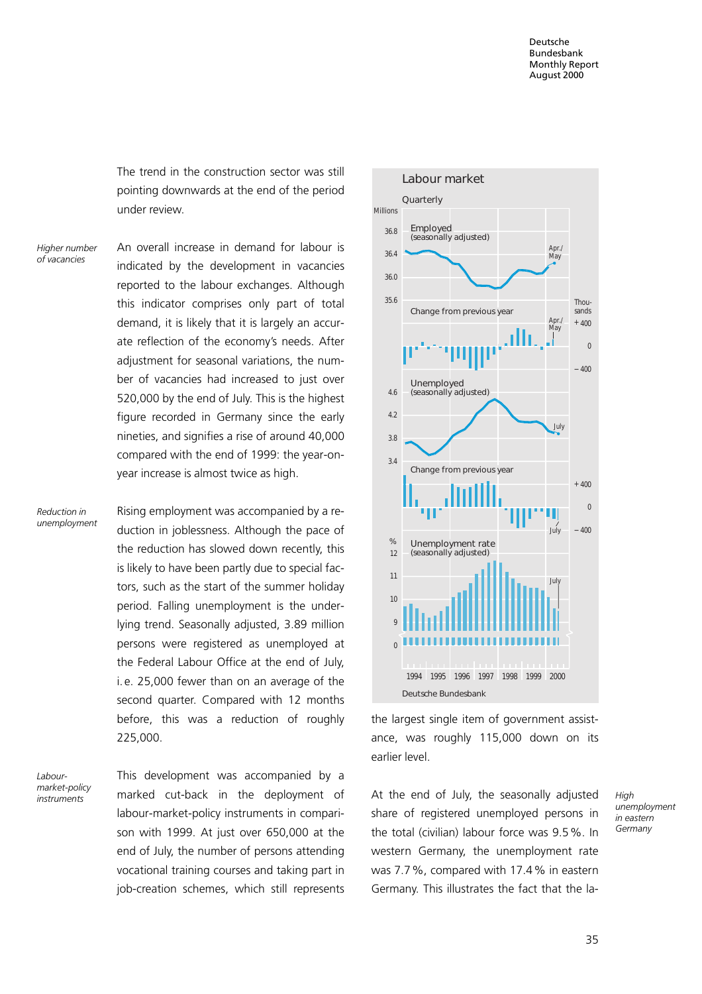The trend in the construction sector was still pointing downwards at the end of the period under review.

An overall increase in demand for labour is indicated by the development in vacancies reported to the labour exchanges. Although this indicator comprises only part of total demand, it is likely that it is largely an accurate reflection of the economy's needs. After adjustment for seasonal variations, the number of vacancies had increased to just over 520,000 by the end of July. This is the highest figure recorded in Germany since the early nineties, and signifies a rise of around 40,000 compared with the end of 1999: the year-onyear increase is almost twice as high. Higher number of vacancies

Reduction in unemployment Rising employment was accompanied by a reduction in joblessness. Although the pace of the reduction has slowed down recently, this is likely to have been partly due to special factors, such as the start of the summer holiday period. Falling unemployment is the underlying trend. Seasonally adjusted, 3.89 million persons were registered as unemployed at the Federal Labour Office at the end of July, i. e. 25,000 fewer than on an average of the second quarter. Compared with 12 months before, this was a reduction of roughly 225,000.

Labourmarket-policy<br>instruments

This development was accompanied by a marked cut-back in the deployment of labour-market-policy instruments in comparison with 1999. At just over 650,000 at the end of July, the number of persons attending vocational training courses and taking part in job-creation schemes, which still represents instruments marked cut-back in the deployment of At the end of July, the seasonally adjusted High



the largest single item of government assistance, was roughly 115,000 down on its earlier level.

share of registered unemployed persons in the total (civilian) labour force was 9.5%. In western Germany, the unemployment rate was 7.7%, compared with 17.4% in eastern Germany. This illustrates the fact that the la-

unemployment in eastern Germany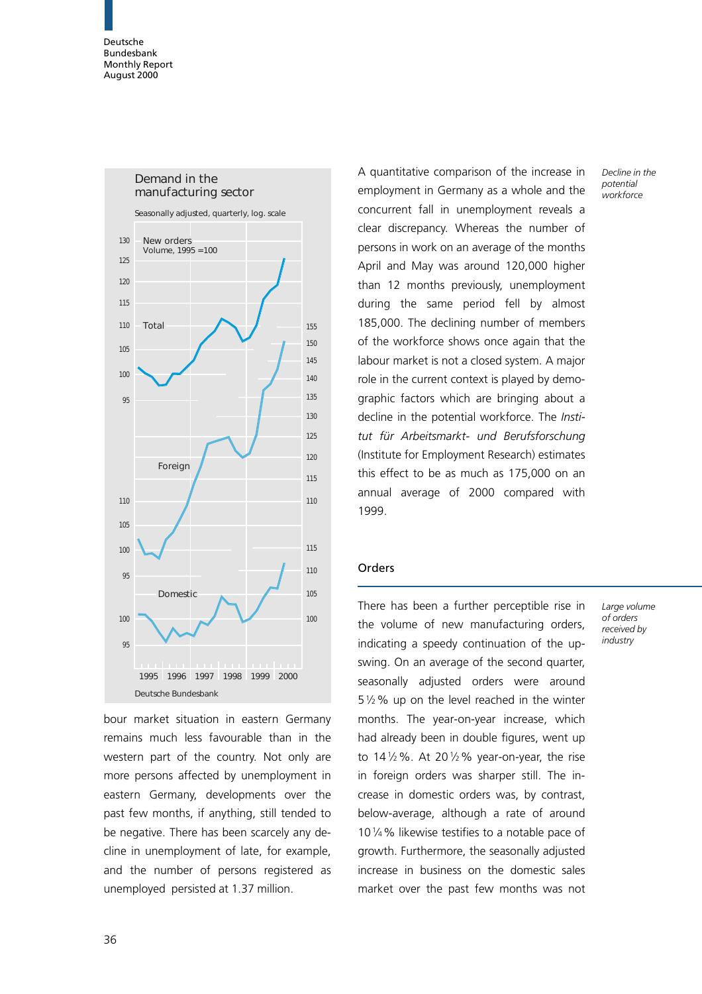

bour market situation in eastern Germany remains much less favourable than in the western part of the country. Not only are more persons affected by unemployment in eastern Germany, developments over the past few months, if anything, still tended to be negative. There has been scarcely any decline in unemployment of late, for example, and the number of persons registered as unemployed persisted at 1.37 million.

A quantitative comparison of the increase in employment in Germany as a whole and the concurrent fall in unemployment reveals a clear discrepancy. Whereas the number of persons in work on an average of the months April and May was around 120,000 higher than 12 months previously, unemployment during the same period fell by almost 185,000. The declining number of members of the workforce shows once again that the labour market is not a closed system. A major role in the current context is played by demographic factors which are bringing about a decline in the potential workforce. The Institut für Arbeitsmarkt- und Berufsforschung (Institute for Employment Research) estimates this effect to be as much as 175,000 on an annual average of 2000 compared with 1999.

## Orders

There has been a further perceptible rise in the volume of new manufacturing orders, indicating a speedy continuation of the upswing. On an average of the second quarter, seasonally adjusted orders were around 512% up on the level reached in the winter months. The year-on-year increase, which had already been in double figures, went up to  $14\frac{1}{2}\%$ . At 20 $\frac{1}{2}\%$  year-on-year, the rise in foreign orders was sharper still. The increase in domestic orders was, by contrast, below-average, although a rate of around 1014% likewise testifies to a notable pace of growth. Furthermore, the seasonally adjusted increase in business on the domestic sales market over the past few months was not Decline in the potential workforce

Large volume of orders received by industry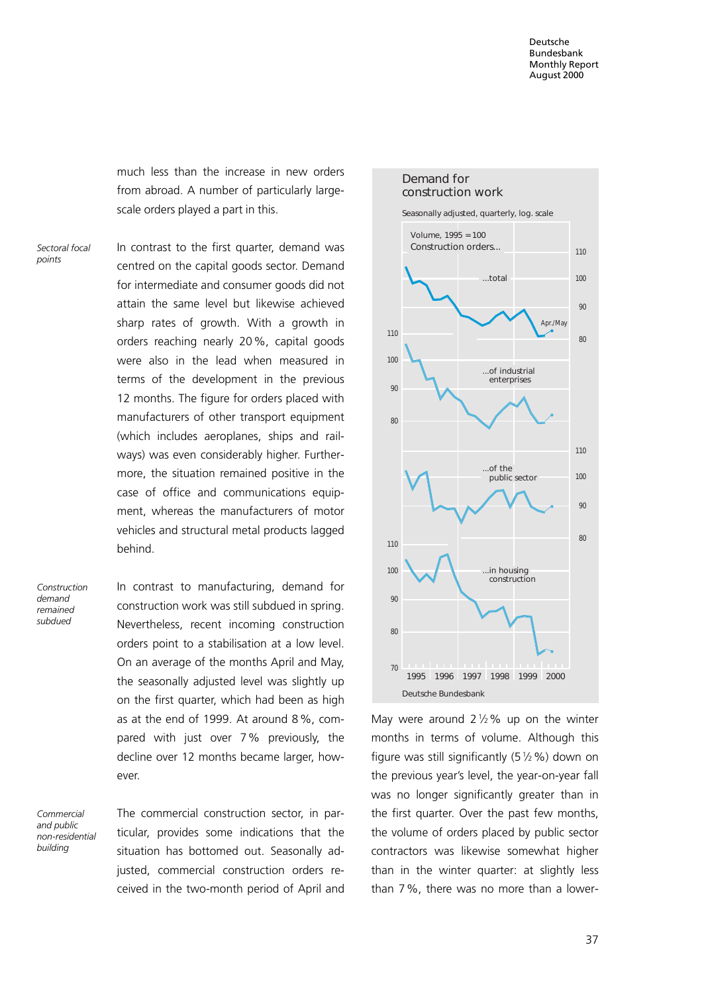much less than the increase in new orders from abroad. A number of particularly largescale orders played a part in this.

Sectoral focal points

In contrast to the first quarter, demand was centred on the capital goods sector. Demand for intermediate and consumer goods did not attain the same level but likewise achieved sharp rates of growth. With a growth in orders reaching nearly 20%, capital goods were also in the lead when measured in terms of the development in the previous 12 months. The figure for orders placed with manufacturers of other transport equipment (which includes aeroplanes, ships and railways) was even considerably higher. Furthermore, the situation remained positive in the case of office and communications equipment, whereas the manufacturers of motor vehicles and structural metal products lagged behind.

Construction demand remained subdued

In contrast to manufacturing, demand for construction work was still subdued in spring. Nevertheless, recent incoming construction orders point to a stabilisation at a low level. On an average of the months April and May, the seasonally adjusted level was slightly up on the first quarter, which had been as high as at the end of 1999. At around 8%, compared with just over 7% previously, the decline over 12 months became larger, however.

Commercial and public non-residential building

The commercial construction sector, in particular, provides some indications that the situation has bottomed out. Seasonally adjusted, commercial construction orders received in the two-month period of April and



May were around  $2\frac{1}{2}\%$  up on the winter months in terms of volume. Although this figure was still significantly  $(5\frac{1}{2}\%)$  down on the previous year's level, the year-on-year fall was no longer significantly greater than in the first quarter. Over the past few months, the volume of orders placed by public sector contractors was likewise somewhat higher than in the winter quarter: at slightly less than 7%, there was no more than a lower-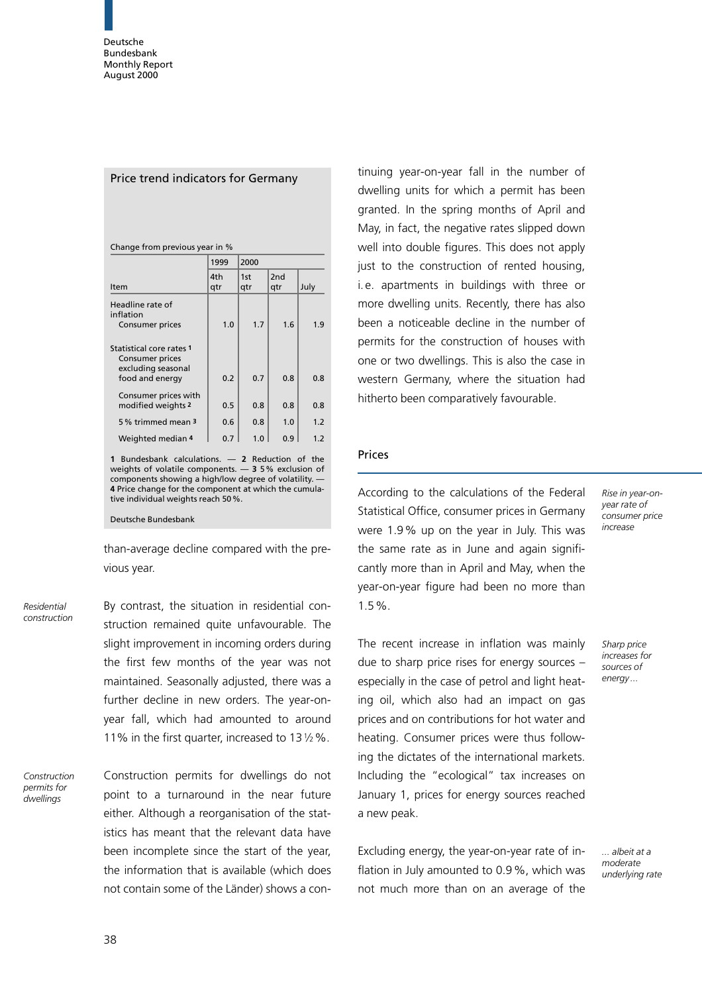|  | Price trend indicators for Germany |  |
|--|------------------------------------|--|
|--|------------------------------------|--|

|                                                                                      | 1999       | 2000       |                        |      |
|--------------------------------------------------------------------------------------|------------|------------|------------------------|------|
| Item                                                                                 | 4th<br>qtr | 1st<br>qtr | 2 <sub>nd</sub><br>qtr | July |
| Headline rate of<br>inflation<br>Consumer prices                                     | 1.0        | 1.7        | 1.6                    | 1.9  |
| Statistical core rates 1<br>Consumer prices<br>excluding seasonal<br>food and energy | 0.2        | 0.7        | 0.8                    | 0.8  |
| Consumer prices with<br>modified weights 2                                           | 0.5        | 0.8        | 0.8                    | 0.8  |
| 5% trimmed mean 3                                                                    | 0.6        | 0.8        | 1.0                    | 1.2  |
| Weighted median 4                                                                    | 0.7        | 1.0        | 0.9                    | 1.2  |

1 Bundesbank calculations.  $-$  2 Reduction of the weights of volatile components.  $-35%$  exclusion of components showing a high/low degree of volatility. 4 Price change for the component at which the cumulative individual weights reach 50%.

Deutsche Bundesbank

than-average decline compared with the previous year.

Residential construction By contrast, the situation in residential construction remained quite unfavourable. The slight improvement in incoming orders during the first few months of the year was not maintained. Seasonally adjusted, there was a further decline in new orders. The year-onyear fall, which had amounted to around 11% in the first quarter, increased to 13 $1/2$ %.

Construction permits for .<br>dwellinas

Construction permits for dwellings do not point to a turnaround in the near future either. Although a reorganisation of the statistics has meant that the relevant data have been incomplete since the start of the year, the information that is available (which does not contain some of the Länder) shows a con-

tinuing year-on-year fall in the number of dwelling units for which a permit has been granted. In the spring months of April and May, in fact, the negative rates slipped down well into double figures. This does not apply just to the construction of rented housing, i. e. apartments in buildings with three or more dwelling units. Recently, there has also been a noticeable decline in the number of permits for the construction of houses with one or two dwellings. This is also the case in western Germany, where the situation had hitherto been comparatively favourable.

### Prices

According to the calculations of the Federal Statistical Office, consumer prices in Germany were 1.9% up on the year in July. This was the same rate as in June and again significantly more than in April and May, when the year-on-year figure had been no more than 1.5%.

Rise in year-onyear rate of consumer price increase

Sharp price increases for sources of energy ...

The recent increase in inflation was mainly due to sharp price rises for energy sources  $$ especially in the case of petrol and light heating oil, which also had an impact on gas prices and on contributions for hot water and heating. Consumer prices were thus following the dictates of the international markets. Including the "ecological" tax increases on January 1, prices for energy sources reached a new peak.

Excluding energy, the year-on-year rate of inflation in July amounted to 0.9%, which was not much more than on an average of the ... albeit at a moderate underlying rate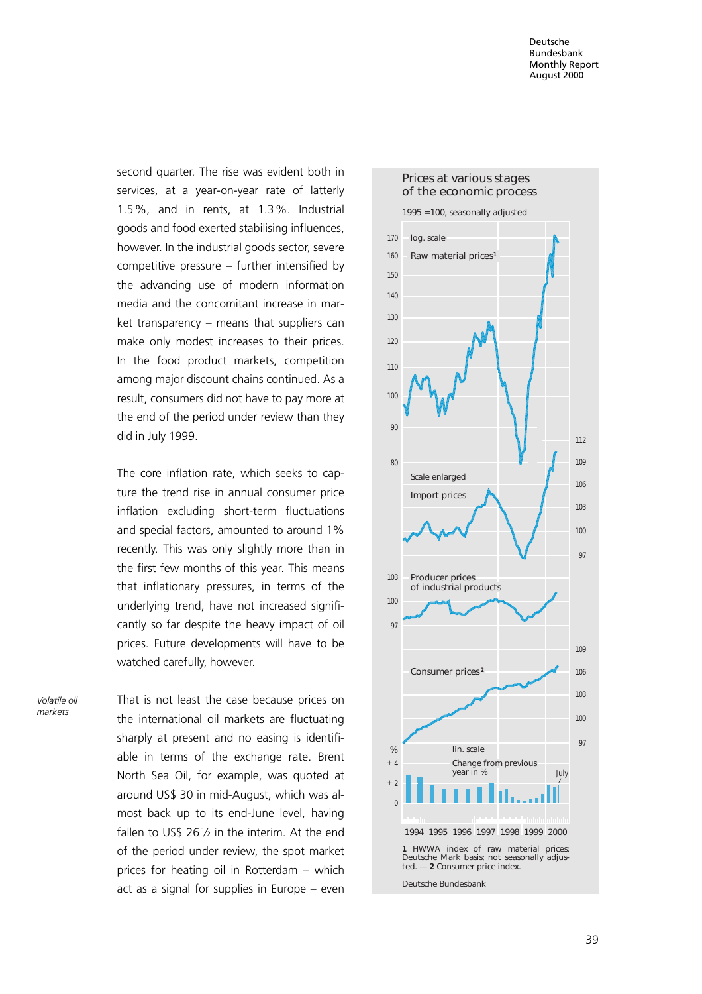second quarter. The rise was evident both in services, at a year-on-year rate of latterly 1.5%, and in rents, at 1.3%. Industrial goods and food exerted stabilising influences, however. In the industrial goods sector, severe competitive pressure  $-$  further intensified by the advancing use of modern information media and the concomitant increase in mar $ket$  transparency  $-$  means that suppliers can make only modest increases to their prices. In the food product markets, competition among major discount chains continued. As a result, consumers did not have to pay more at the end of the period under review than they did in July 1999.

The core inflation rate, which seeks to capture the trend rise in annual consumer price inflation excluding short-term fluctuations and special factors, amounted to around 1% recently. This was only slightly more than in the first few months of this year. This means that inflationary pressures, in terms of the underlying trend, have not increased significantly so far despite the heavy impact of oil prices. Future developments will have to be watched carefully, however.

Volatile oil markets

That is not least the case because prices on the international oil markets are fluctuating sharply at present and no easing is identifiable in terms of the exchange rate. Brent North Sea Oil, for example, was quoted at around US\$ 30 in mid-August, which was almost back up to its end-June level, having fallen to US\$ 26 $1/2$  in the interim. At the end of the period under review, the spot market prices for heating oil in Rotterdam  $-$  which act as a signal for supplies in Europe  $-$  even